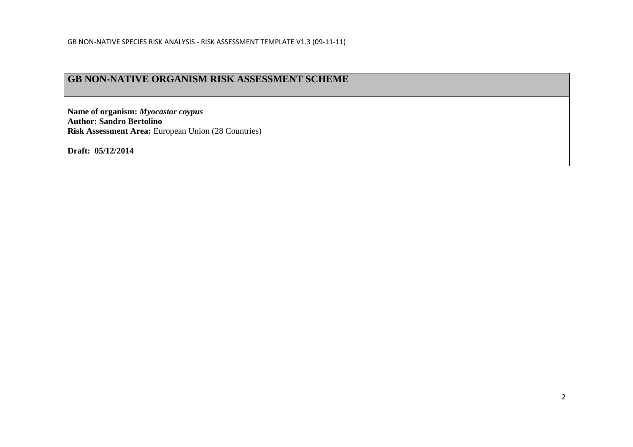### **GB NON-NATIVE ORGANISM RISK ASSESSMENT SCHEME**

**Name of organism:** *Myocastor coypus*  **Author: Sandro Bertolino Risk Assessment Area:** European Union (28 Countries)

**Draft: 05/12/2014**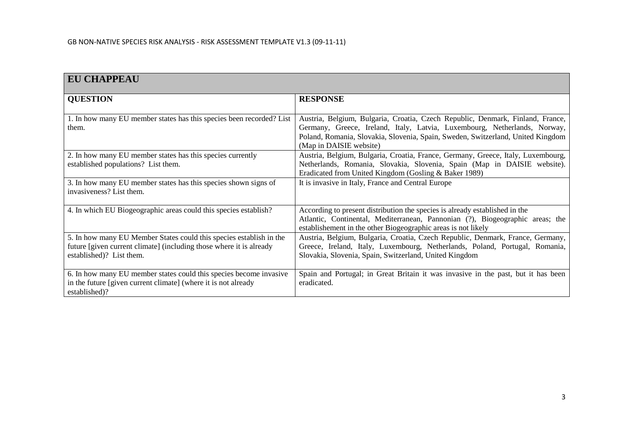| <b>EU CHAPPEAU</b>                                                                                                                                                     |                                                                                                                                                                                                                                                                           |
|------------------------------------------------------------------------------------------------------------------------------------------------------------------------|---------------------------------------------------------------------------------------------------------------------------------------------------------------------------------------------------------------------------------------------------------------------------|
| <b>QUESTION</b>                                                                                                                                                        | <b>RESPONSE</b>                                                                                                                                                                                                                                                           |
| 1. In how many EU member states has this species been recorded? List<br>them.                                                                                          | Austria, Belgium, Bulgaria, Croatia, Czech Republic, Denmark, Finland, France,<br>Germany, Greece, Ireland, Italy, Latvia, Luxembourg, Netherlands, Norway,<br>Poland, Romania, Slovakia, Slovenia, Spain, Sweden, Switzerland, United Kingdom<br>(Map in DAISIE website) |
| 2. In how many EU member states has this species currently<br>established populations? List them.                                                                      | Austria, Belgium, Bulgaria, Croatia, France, Germany, Greece, Italy, Luxembourg,<br>Netherlands, Romania, Slovakia, Slovenia, Spain (Map in DAISIE website).<br>Eradicated from United Kingdom (Gosling & Baker 1989)                                                     |
| 3. In how many EU member states has this species shown signs of<br>invasiveness? List them.                                                                            | It is invasive in Italy, France and Central Europe                                                                                                                                                                                                                        |
| 4. In which EU Biogeographic areas could this species establish?                                                                                                       | According to present distribution the species is already established in the<br>Atlantic, Continental, Mediterranean, Pannonian (?), Biogeographic areas; the<br>establishement in the other Biogeographic areas is not likely                                             |
| 5. In how many EU Member States could this species establish in the<br>future [given current climate] (including those where it is already<br>established)? List them. | Austria, Belgium, Bulgaria, Croatia, Czech Republic, Denmark, France, Germany,<br>Greece, Ireland, Italy, Luxembourg, Netherlands, Poland, Portugal, Romania,<br>Slovakia, Slovenia, Spain, Switzerland, United Kingdom                                                   |
| 6. In how many EU member states could this species become invasive<br>in the future [given current climate] (where it is not already<br>established)?                  | Spain and Portugal; in Great Britain it was invasive in the past, but it has been<br>eradicated.                                                                                                                                                                          |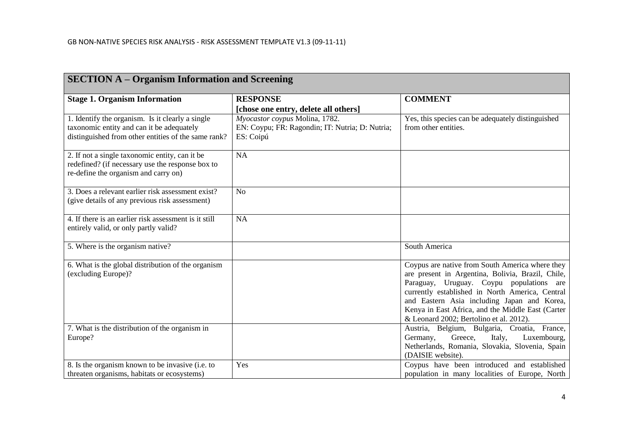| <b>SECTION A - Organism Information and Screening</b>                                                                                                |                                                                                                |                                                                                                                                                                                                                                                                                                                                                    |  |
|------------------------------------------------------------------------------------------------------------------------------------------------------|------------------------------------------------------------------------------------------------|----------------------------------------------------------------------------------------------------------------------------------------------------------------------------------------------------------------------------------------------------------------------------------------------------------------------------------------------------|--|
| <b>Stage 1. Organism Information</b>                                                                                                                 | <b>RESPONSE</b>                                                                                | <b>COMMENT</b>                                                                                                                                                                                                                                                                                                                                     |  |
|                                                                                                                                                      | [chose one entry, delete all others]                                                           |                                                                                                                                                                                                                                                                                                                                                    |  |
| 1. Identify the organism. Is it clearly a single<br>taxonomic entity and can it be adequately<br>distinguished from other entities of the same rank? | Myocastor coypus Molina, 1782.<br>EN: Coypu; FR: Ragondin; IT: Nutria; D: Nutria;<br>ES: Coipú | Yes, this species can be adequately distinguished<br>from other entities.                                                                                                                                                                                                                                                                          |  |
| 2. If not a single taxonomic entity, can it be<br>redefined? (if necessary use the response box to<br>re-define the organism and carry on)           | NA                                                                                             |                                                                                                                                                                                                                                                                                                                                                    |  |
| 3. Does a relevant earlier risk assessment exist?<br>(give details of any previous risk assessment)                                                  | N <sub>o</sub>                                                                                 |                                                                                                                                                                                                                                                                                                                                                    |  |
| 4. If there is an earlier risk assessment is it still<br>entirely valid, or only partly valid?                                                       | <b>NA</b>                                                                                      |                                                                                                                                                                                                                                                                                                                                                    |  |
| 5. Where is the organism native?                                                                                                                     |                                                                                                | South America                                                                                                                                                                                                                                                                                                                                      |  |
| 6. What is the global distribution of the organism<br>(excluding Europe)?                                                                            |                                                                                                | Coypus are native from South America where they<br>are present in Argentina, Bolivia, Brazil, Chile,<br>Paraguay, Uruguay. Coypu populations are<br>currently established in North America, Central<br>and Eastern Asia including Japan and Korea,<br>Kenya in East Africa, and the Middle East (Carter<br>& Leonard 2002; Bertolino et al. 2012). |  |
| 7. What is the distribution of the organism in<br>Europe?                                                                                            |                                                                                                | Austria, Belgium, Bulgaria, Croatia, France,<br>Greece,<br>Luxembourg,<br>Germany,<br>Italy,<br>Netherlands, Romania, Slovakia, Slovenia, Spain<br>(DAISIE website).                                                                                                                                                                               |  |
| 8. Is the organism known to be invasive (i.e. to<br>threaten organisms, habitats or ecosystems)                                                      | Yes                                                                                            | Coypus have been introduced and established<br>population in many localities of Europe, North                                                                                                                                                                                                                                                      |  |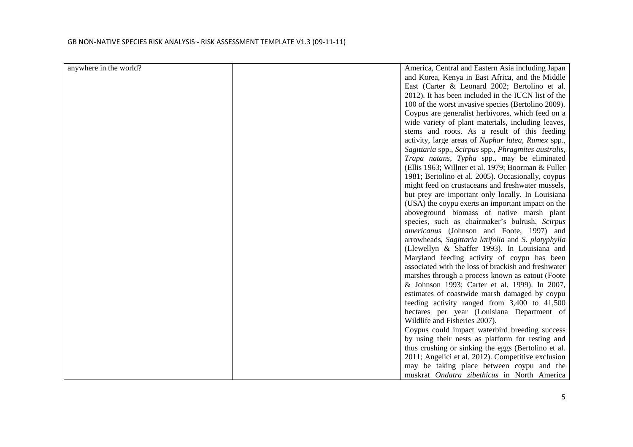| anywhere in the world? | America, Central and Eastern Asia including Japan    |
|------------------------|------------------------------------------------------|
|                        | and Korea, Kenya in East Africa, and the Middle      |
|                        | East (Carter & Leonard 2002; Bertolino et al.        |
|                        | 2012). It has been included in the IUCN list of the  |
|                        | 100 of the worst invasive species (Bertolino 2009).  |
|                        | Coypus are generalist herbivores, which feed on a    |
|                        | wide variety of plant materials, including leaves,   |
|                        | stems and roots. As a result of this feeding         |
|                        | activity, large areas of Nuphar lutea, Rumex spp.,   |
|                        | Sagittaria spp., Scirpus spp., Phragmites australis, |
|                        | Trapa natans, Typha spp., may be eliminated          |
|                        | (Ellis 1963; Willner et al. 1979; Boorman & Fuller   |
|                        | 1981; Bertolino et al. 2005). Occasionally, coypus   |
|                        | might feed on crustaceans and freshwater mussels,    |
|                        | but prey are important only locally. In Louisiana    |
|                        | (USA) the coypu exerts an important impact on the    |
|                        | aboveground biomass of native marsh plant            |
|                        | species, such as chairmaker's bulrush, Scirpus       |
|                        | americanus (Johnson and Foote, 1997) and             |
|                        | arrowheads, Sagittaria latifolia and S. platyphylla  |
|                        | (Llewellyn & Shaffer 1993). In Louisiana and         |
|                        | Maryland feeding activity of coypu has been          |
|                        | associated with the loss of brackish and freshwater  |
|                        | marshes through a process known as eatout (Foote     |
|                        | & Johnson 1993; Carter et al. 1999). In 2007,        |
|                        | estimates of coastwide marsh damaged by coypu        |
|                        | feeding activity ranged from 3,400 to 41,500         |
|                        | hectares per year (Louisiana Department of           |
|                        | Wildlife and Fisheries 2007).                        |
|                        | Coypus could impact waterbird breeding success       |
|                        | by using their nests as platform for resting and     |
|                        | thus crushing or sinking the eggs (Bertolino et al.  |
|                        | 2011; Angelici et al. 2012). Competitive exclusion   |
|                        | may be taking place between coypu and the            |
|                        | muskrat Ondatra zibethicus in North America          |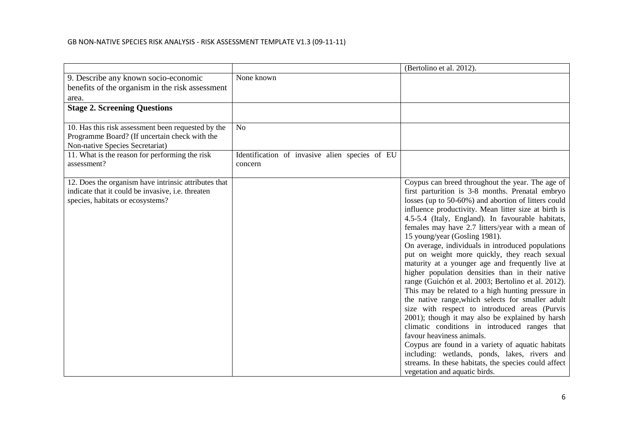|                                                      |                                                | (Bertolino et al. 2012).                                                                                |
|------------------------------------------------------|------------------------------------------------|---------------------------------------------------------------------------------------------------------|
| 9. Describe any known socio-economic                 | None known                                     |                                                                                                         |
| benefits of the organism in the risk assessment      |                                                |                                                                                                         |
| area.                                                |                                                |                                                                                                         |
| <b>Stage 2. Screening Questions</b>                  |                                                |                                                                                                         |
|                                                      |                                                |                                                                                                         |
| 10. Has this risk assessment been requested by the   | N <sub>o</sub>                                 |                                                                                                         |
| Programme Board? (If uncertain check with the        |                                                |                                                                                                         |
| Non-native Species Secretariat)                      |                                                |                                                                                                         |
| 11. What is the reason for performing the risk       | Identification of invasive alien species of EU |                                                                                                         |
| assessment?                                          | concern                                        |                                                                                                         |
|                                                      |                                                |                                                                                                         |
| 12. Does the organism have intrinsic attributes that |                                                | Coypus can breed throughout the year. The age of                                                        |
| indicate that it could be invasive, i.e. threaten    |                                                | first parturition is 3-8 months. Prenatal embryo<br>losses (up to 50-60%) and abortion of litters could |
| species, habitats or ecosystems?                     |                                                | influence productivity. Mean litter size at birth is                                                    |
|                                                      |                                                | 4.5-5.4 (Italy, England). In favourable habitats,                                                       |
|                                                      |                                                | females may have 2.7 litters/year with a mean of                                                        |
|                                                      |                                                | 15 young/year (Gosling 1981).                                                                           |
|                                                      |                                                | On average, individuals in introduced populations                                                       |
|                                                      |                                                | put on weight more quickly, they reach sexual                                                           |
|                                                      |                                                | maturity at a younger age and frequently live at                                                        |
|                                                      |                                                | higher population densities than in their native                                                        |
|                                                      |                                                | range (Guichón et al. 2003; Bertolino et al. 2012).                                                     |
|                                                      |                                                | This may be related to a high hunting pressure in                                                       |
|                                                      |                                                | the native range, which selects for smaller adult                                                       |
|                                                      |                                                | size with respect to introduced areas (Purvis                                                           |
|                                                      |                                                | 2001); though it may also be explained by harsh<br>climatic conditions in introduced ranges that        |
|                                                      |                                                | favour heaviness animals.                                                                               |
|                                                      |                                                | Coypus are found in a variety of aquatic habitats                                                       |
|                                                      |                                                | including: wetlands, ponds, lakes, rivers and                                                           |
|                                                      |                                                | streams. In these habitats, the species could affect                                                    |
|                                                      |                                                | vegetation and aquatic birds.                                                                           |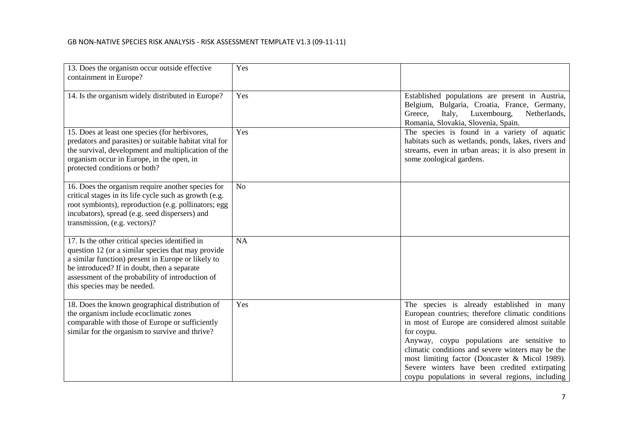| 13. Does the organism occur outside effective<br>containment in Europe?                                                                                                                                                                                                                       | Yes            |                                                                                                                                                                                                                                                                                                                                                                                                                            |
|-----------------------------------------------------------------------------------------------------------------------------------------------------------------------------------------------------------------------------------------------------------------------------------------------|----------------|----------------------------------------------------------------------------------------------------------------------------------------------------------------------------------------------------------------------------------------------------------------------------------------------------------------------------------------------------------------------------------------------------------------------------|
| 14. Is the organism widely distributed in Europe?                                                                                                                                                                                                                                             | Yes            | Established populations are present in Austria,<br>Belgium, Bulgaria, Croatia, France, Germany,<br>Luxembourg,<br>Netherlands,<br>Greece,<br>Italy,<br>Romania, Slovakia, Slovenia, Spain.                                                                                                                                                                                                                                 |
| 15. Does at least one species (for herbivores,<br>predators and parasites) or suitable habitat vital for<br>the survival, development and multiplication of the<br>organism occur in Europe, in the open, in<br>protected conditions or both?                                                 | Yes            | The species is found in a variety of aquatic<br>habitats such as wetlands, ponds, lakes, rivers and<br>streams, even in urban areas; it is also present in<br>some zoological gardens.                                                                                                                                                                                                                                     |
| 16. Does the organism require another species for<br>critical stages in its life cycle such as growth (e.g.<br>root symbionts), reproduction (e.g. pollinators; egg<br>incubators), spread (e.g. seed dispersers) and<br>transmission, (e.g. vectors)?                                        | N <sub>o</sub> |                                                                                                                                                                                                                                                                                                                                                                                                                            |
| 17. Is the other critical species identified in<br>question 12 (or a similar species that may provide<br>a similar function) present in Europe or likely to<br>be introduced? If in doubt, then a separate<br>assessment of the probability of introduction of<br>this species may be needed. | <b>NA</b>      |                                                                                                                                                                                                                                                                                                                                                                                                                            |
| 18. Does the known geographical distribution of<br>the organism include ecoclimatic zones<br>comparable with those of Europe or sufficiently<br>similar for the organism to survive and thrive?                                                                                               | Yes            | The species is already established in many<br>European countries; therefore climatic conditions<br>in most of Europe are considered almost suitable<br>for coypu.<br>Anyway, coypu populations are sensitive to<br>climatic conditions and severe winters may be the<br>most limiting factor (Doncaster & Micol 1989).<br>Severe winters have been credited extirpating<br>coypu populations in several regions, including |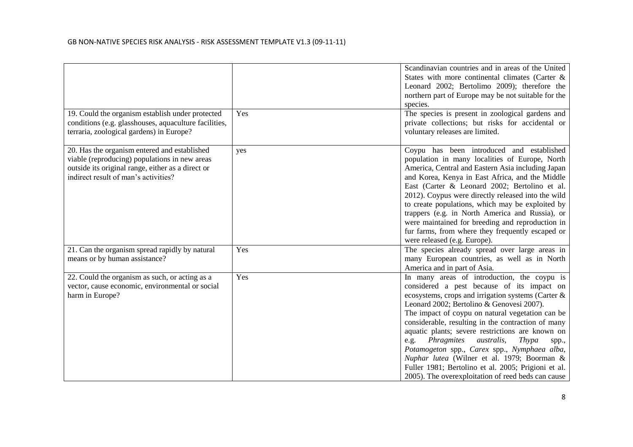|                                                                                                                                                                                            |     | Scandinavian countries and in areas of the United<br>States with more continental climates (Carter &<br>Leonard 2002; Bertolimo 2009); therefore the<br>northern part of Europe may be not suitable for the<br>species.                                                                                                                                                                                                                                                                                                                                                                                                                 |
|--------------------------------------------------------------------------------------------------------------------------------------------------------------------------------------------|-----|-----------------------------------------------------------------------------------------------------------------------------------------------------------------------------------------------------------------------------------------------------------------------------------------------------------------------------------------------------------------------------------------------------------------------------------------------------------------------------------------------------------------------------------------------------------------------------------------------------------------------------------------|
| 19. Could the organism establish under protected<br>conditions (e.g. glasshouses, aquaculture facilities,<br>terraria, zoological gardens) in Europe?                                      | Yes | The species is present in zoological gardens and<br>private collections; but risks for accidental or<br>voluntary releases are limited.                                                                                                                                                                                                                                                                                                                                                                                                                                                                                                 |
| 20. Has the organism entered and established<br>viable (reproducing) populations in new areas<br>outside its original range, either as a direct or<br>indirect result of man's activities? | yes | Coypu has been introduced and established<br>population in many localities of Europe, North<br>America, Central and Eastern Asia including Japan<br>and Korea, Kenya in East Africa, and the Middle<br>East (Carter & Leonard 2002; Bertolino et al.<br>2012). Coypus were directly released into the wild<br>to create populations, which may be exploited by<br>trappers (e.g. in North America and Russia), or<br>were maintained for breeding and reproduction in<br>fur farms, from where they frequently escaped or<br>were released (e.g. Europe).                                                                               |
| 21. Can the organism spread rapidly by natural<br>means or by human assistance?                                                                                                            | Yes | The species already spread over large areas in<br>many European countries, as well as in North<br>America and in part of Asia.                                                                                                                                                                                                                                                                                                                                                                                                                                                                                                          |
| 22. Could the organism as such, or acting as a<br>vector, cause economic, environmental or social<br>harm in Europe?                                                                       | Yes | In many areas of introduction, the coypu is<br>considered a pest because of its impact on<br>ecosystems, crops and irrigation systems (Carter $\&$<br>Leonard 2002; Bertolino & Genovesi 2007).<br>The impact of coypu on natural vegetation can be<br>considerable, resulting in the contraction of many<br>aquatic plants; severe restrictions are known on<br>Phragmites<br><i>australis</i> ,<br>Thypa<br>e.g.<br>spp.,<br>Potamogeton spp., Carex spp., Nymphaea alba,<br>Nuphar lutea (Wilner et al. 1979; Boorman &<br>Fuller 1981; Bertolino et al. 2005; Prigioni et al.<br>2005). The overexploitation of reed beds can cause |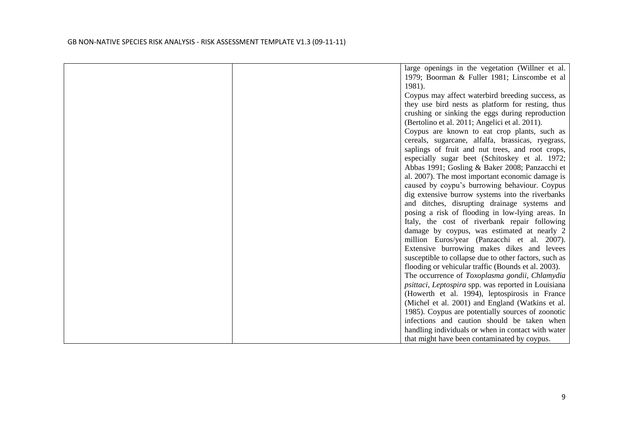| large openings in the vegetation (Willner et al.      |
|-------------------------------------------------------|
| 1979; Boorman & Fuller 1981; Linscombe et al          |
| 1981).                                                |
| Coypus may affect waterbird breeding success, as      |
| they use bird nests as platform for resting, thus     |
| crushing or sinking the eggs during reproduction      |
| (Bertolino et al. 2011; Angelici et al. 2011).        |
| Coypus are known to eat crop plants, such as          |
| cereals, sugarcane, alfalfa, brassicas, ryegrass,     |
| saplings of fruit and nut trees, and root crops,      |
| especially sugar beet (Schitoskey et al. 1972;        |
| Abbas 1991; Gosling & Baker 2008; Panzacchi et        |
| al. 2007). The most important economic damage is      |
| caused by coypu's burrowing behaviour. Coypus         |
| dig extensive burrow systems into the riverbanks      |
| and ditches, disrupting drainage systems and          |
| posing a risk of flooding in low-lying areas. In      |
| Italy, the cost of riverbank repair following         |
| damage by coypus, was estimated at nearly 2           |
| million Euros/year (Panzacchi et al. 2007).           |
| Extensive burrowing makes dikes and levees            |
| susceptible to collapse due to other factors, such as |
| flooding or vehicular traffic (Bounds et al. 2003).   |
| The occurrence of Toxoplasma gondii, Chlamydia        |
| psittaci, Leptospira spp. was reported in Louisiana   |
| (Howerth et al. 1994), leptospirosis in France        |
| (Michel et al. 2001) and England (Watkins et al.      |
| 1985). Coypus are potentially sources of zoonotic     |
| infections and caution should be taken when           |
| handling individuals or when in contact with water    |
| that might have been contaminated by coypus.          |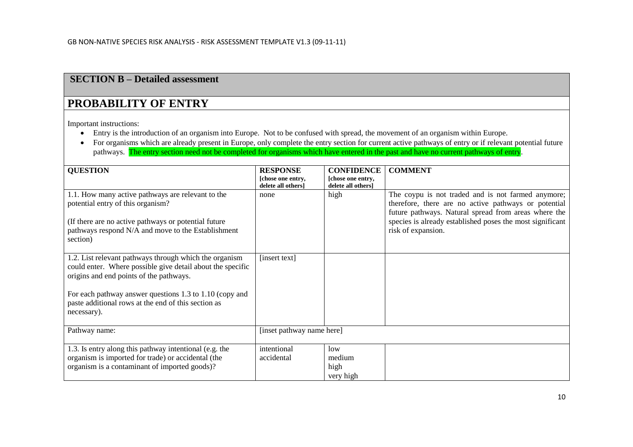### **SECTION B – Detailed assessment**

## **PROBABILITY OF ENTRY**

Important instructions:

- Entry is the introduction of an organism into Europe. Not to be confused with spread, the movement of an organism within Europe.
- For organisms which are already present in Europe, only complete the entry section for current active pathways of entry or if relevant potential future pathways. The entry section need not be completed for organisms which have entered in the past and have no current pathways of entry.

| <b>QUESTION</b>                                                                                                                                                                                                                                                                                  | <b>RESPONSE</b><br>[chose one entry, | <b>CONFIDENCE</b><br>[chose one entry, | <b>COMMENT</b>                                                                                                                                                                                                                                        |
|--------------------------------------------------------------------------------------------------------------------------------------------------------------------------------------------------------------------------------------------------------------------------------------------------|--------------------------------------|----------------------------------------|-------------------------------------------------------------------------------------------------------------------------------------------------------------------------------------------------------------------------------------------------------|
| 1.1. How many active pathways are relevant to the<br>potential entry of this organism?<br>(If there are no active pathways or potential future)<br>pathways respond N/A and move to the Establishment<br>section)                                                                                | delete all others]<br>none           | delete all others]<br>high             | The coypu is not traded and is not farmed anymore;<br>therefore, there are no active pathways or potential<br>future pathways. Natural spread from areas where the<br>species is already established poses the most significant<br>risk of expansion. |
| 1.2. List relevant pathways through which the organism<br>could enter. Where possible give detail about the specific<br>origins and end points of the pathways.<br>For each pathway answer questions 1.3 to 1.10 (copy and<br>paste additional rows at the end of this section as<br>necessary). | [insert text]                        |                                        |                                                                                                                                                                                                                                                       |
| Pathway name:                                                                                                                                                                                                                                                                                    | [inset pathway name here]            |                                        |                                                                                                                                                                                                                                                       |
| 1.3. Is entry along this pathway intentional (e.g. the<br>organism is imported for trade) or accidental (the<br>organism is a contaminant of imported goods)?                                                                                                                                    | intentional<br>accidental            | low<br>medium<br>high<br>very high     |                                                                                                                                                                                                                                                       |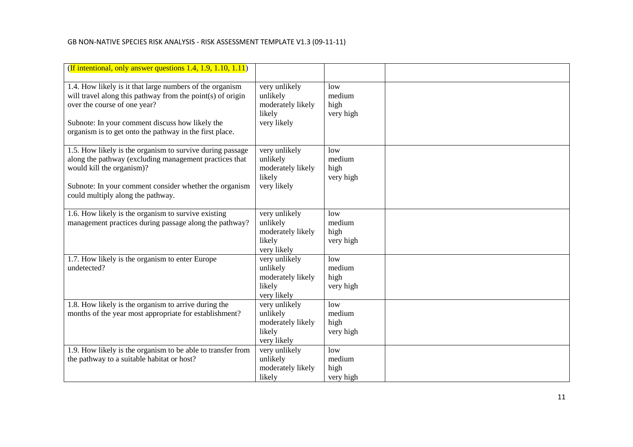| (If intentional, only answer questions 1.4, 1.9, 1.10, 1.11)                                                                                                                                                                                                         |                                                                         |                                    |  |
|----------------------------------------------------------------------------------------------------------------------------------------------------------------------------------------------------------------------------------------------------------------------|-------------------------------------------------------------------------|------------------------------------|--|
| 1.4. How likely is it that large numbers of the organism<br>will travel along this pathway from the point(s) of origin<br>over the course of one year?<br>Subnote: In your comment discuss how likely the<br>organism is to get onto the pathway in the first place. | very unlikely<br>unlikely<br>moderately likely<br>likely<br>very likely | low<br>medium<br>high<br>very high |  |
| 1.5. How likely is the organism to survive during passage<br>along the pathway (excluding management practices that<br>would kill the organism)?<br>Subnote: In your comment consider whether the organism<br>could multiply along the pathway.                      | very unlikely<br>unlikely<br>moderately likely<br>likely<br>very likely | low<br>medium<br>high<br>very high |  |
| 1.6. How likely is the organism to survive existing<br>management practices during passage along the pathway?                                                                                                                                                        | very unlikely<br>unlikely<br>moderately likely<br>likely<br>very likely | low<br>medium<br>high<br>very high |  |
| 1.7. How likely is the organism to enter Europe<br>undetected?                                                                                                                                                                                                       | very unlikely<br>unlikely<br>moderately likely<br>likely<br>very likely | low<br>medium<br>high<br>very high |  |
| 1.8. How likely is the organism to arrive during the<br>months of the year most appropriate for establishment?                                                                                                                                                       | very unlikely<br>unlikely<br>moderately likely<br>likely<br>very likely | low<br>medium<br>high<br>very high |  |
| 1.9. How likely is the organism to be able to transfer from<br>the pathway to a suitable habitat or host?                                                                                                                                                            | very unlikely<br>unlikely<br>moderately likely<br>likely                | low<br>medium<br>high<br>very high |  |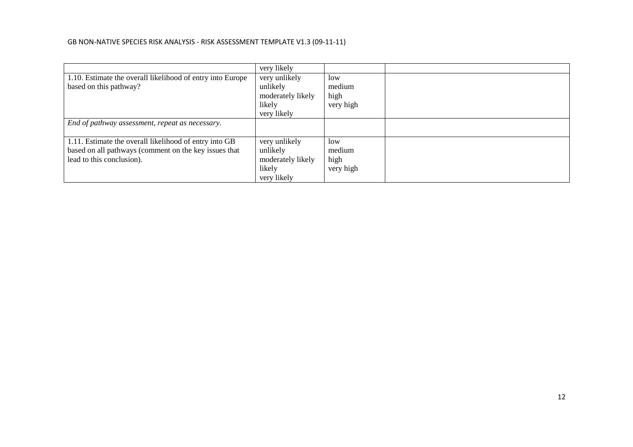|                                                            | very likely       |           |  |
|------------------------------------------------------------|-------------------|-----------|--|
| 1.10. Estimate the overall likelihood of entry into Europe | very unlikely     | low       |  |
| based on this pathway?                                     | unlikely          | medium    |  |
|                                                            | moderately likely | high      |  |
|                                                            | likely            | very high |  |
|                                                            | very likely       |           |  |
| End of pathway assessment, repeat as necessary.            |                   |           |  |
| 1.11. Estimate the overall likelihood of entry into GB     | very unlikely     | low       |  |
| based on all pathways (comment on the key issues that      | unlikely          | medium    |  |
| lead to this conclusion).                                  | moderately likely | high      |  |
|                                                            | likely            | very high |  |
|                                                            | very likely       |           |  |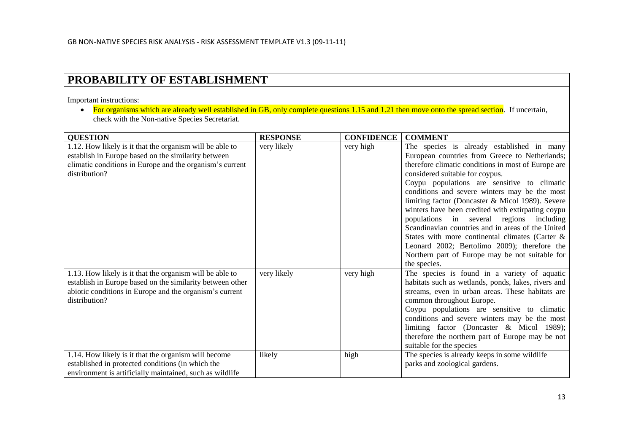## **PROBABILITY OF ESTABLISHMENT**

Important instructions:

• For organisms which are already well established in GB, only complete questions 1.15 and 1.21 then move onto the spread section. If uncertain, check with the Non-native Species Secretariat.

| <b>QUESTION</b>                                           | <b>RESPONSE</b> | <b>CONFIDENCE</b> | <b>COMMENT</b>                                      |
|-----------------------------------------------------------|-----------------|-------------------|-----------------------------------------------------|
| 1.12. How likely is it that the organism will be able to  | very likely     | very high         | The species is already established in many          |
| establish in Europe based on the similarity between       |                 |                   | European countries from Greece to Netherlands;      |
| climatic conditions in Europe and the organism's current  |                 |                   | therefore climatic conditions in most of Europe are |
| distribution?                                             |                 |                   | considered suitable for coypus.                     |
|                                                           |                 |                   | Coypu populations are sensitive to climatic         |
|                                                           |                 |                   | conditions and severe winters may be the most       |
|                                                           |                 |                   | limiting factor (Doncaster & Micol 1989). Severe    |
|                                                           |                 |                   | winters have been credited with extirpating coypu   |
|                                                           |                 |                   | populations in several regions including            |
|                                                           |                 |                   | Scandinavian countries and in areas of the United   |
|                                                           |                 |                   | States with more continental climates (Carter &     |
|                                                           |                 |                   | Leonard 2002; Bertolimo 2009); therefore the        |
|                                                           |                 |                   | Northern part of Europe may be not suitable for     |
|                                                           |                 |                   | the species.                                        |
| 1.13. How likely is it that the organism will be able to  | very likely     | very high         | The species is found in a variety of aquatic        |
| establish in Europe based on the similarity between other |                 |                   | habitats such as wetlands, ponds, lakes, rivers and |
| abiotic conditions in Europe and the organism's current   |                 |                   | streams, even in urban areas. These habitats are    |
| distribution?                                             |                 |                   | common throughout Europe.                           |
|                                                           |                 |                   | Coypu populations are sensitive to climatic         |
|                                                           |                 |                   | conditions and severe winters may be the most       |
|                                                           |                 |                   | limiting factor (Doncaster & Micol 1989);           |
|                                                           |                 |                   | therefore the northern part of Europe may be not    |
|                                                           |                 |                   | suitable for the species                            |
| 1.14. How likely is it that the organism will become      | likely          | high              | The species is already keeps in some wildlife       |
| established in protected conditions (in which the         |                 |                   | parks and zoological gardens.                       |
| environment is artificially maintained, such as wildlife  |                 |                   |                                                     |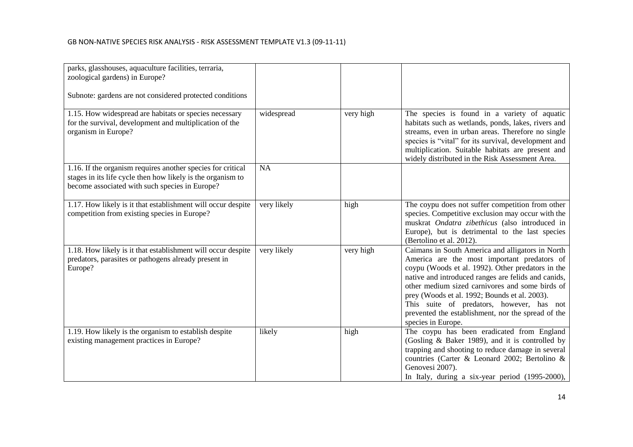| parks, glasshouses, aquaculture facilities, terraria,<br>zoological gardens) in Europe?<br>Subnote: gardens are not considered protected conditions                          |             |           |                                                                                                                                                                                                                                                                                                                                                                                                                                          |
|------------------------------------------------------------------------------------------------------------------------------------------------------------------------------|-------------|-----------|------------------------------------------------------------------------------------------------------------------------------------------------------------------------------------------------------------------------------------------------------------------------------------------------------------------------------------------------------------------------------------------------------------------------------------------|
| 1.15. How widespread are habitats or species necessary<br>for the survival, development and multiplication of the<br>organism in Europe?                                     | widespread  | very high | The species is found in a variety of aquatic<br>habitats such as wetlands, ponds, lakes, rivers and<br>streams, even in urban areas. Therefore no single<br>species is "vital" for its survival, development and<br>multiplication. Suitable habitats are present and<br>widely distributed in the Risk Assessment Area.                                                                                                                 |
| 1.16. If the organism requires another species for critical<br>stages in its life cycle then how likely is the organism to<br>become associated with such species in Europe? | <b>NA</b>   |           |                                                                                                                                                                                                                                                                                                                                                                                                                                          |
| 1.17. How likely is it that establishment will occur despite<br>competition from existing species in Europe?                                                                 | very likely | high      | The coypu does not suffer competition from other<br>species. Competitive exclusion may occur with the<br>muskrat Ondatra zibethicus (also introduced in<br>Europe), but is detrimental to the last species<br>(Bertolino et al. 2012).                                                                                                                                                                                                   |
| 1.18. How likely is it that establishment will occur despite<br>predators, parasites or pathogens already present in<br>Europe?                                              | very likely | very high | Caimans in South America and alligators in North<br>America are the most important predators of<br>coypu (Woods et al. 1992). Other predators in the<br>native and introduced ranges are felids and canids,<br>other medium sized carnivores and some birds of<br>prey (Woods et al. 1992; Bounds et al. 2003).<br>This suite of predators, however, has not<br>prevented the establishment, nor the spread of the<br>species in Europe. |
| 1.19. How likely is the organism to establish despite<br>existing management practices in Europe?                                                                            | likely      | high      | The coypu has been eradicated from England<br>(Gosling & Baker 1989), and it is controlled by<br>trapping and shooting to reduce damage in several<br>countries (Carter & Leonard 2002; Bertolino &<br>Genovesi 2007).<br>In Italy, during a six-year period (1995-2000),                                                                                                                                                                |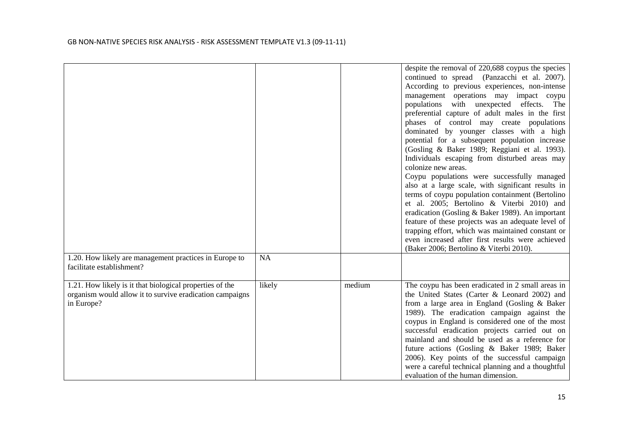|                                                                                                                                    |           |        | despite the removal of 220,688 coypus the species<br>continued to spread (Panzacchi et al. 2007).<br>According to previous experiences, non-intense<br>management operations may impact coypu<br>populations with unexpected effects. The<br>preferential capture of adult males in the first<br>phases of control may create populations<br>dominated by younger classes with a high<br>potential for a subsequent population increase<br>(Gosling & Baker 1989; Reggiani et al. 1993).<br>Individuals escaping from disturbed areas may<br>colonize new areas.<br>Coypu populations were successfully managed<br>also at a large scale, with significant results in<br>terms of coypu population containment (Bertolino<br>et al. 2005; Bertolino & Viterbi 2010) and<br>eradication (Gosling & Baker 1989). An important<br>feature of these projects was an adequate level of<br>trapping effort, which was maintained constant or<br>even increased after first results were achieved |
|------------------------------------------------------------------------------------------------------------------------------------|-----------|--------|--------------------------------------------------------------------------------------------------------------------------------------------------------------------------------------------------------------------------------------------------------------------------------------------------------------------------------------------------------------------------------------------------------------------------------------------------------------------------------------------------------------------------------------------------------------------------------------------------------------------------------------------------------------------------------------------------------------------------------------------------------------------------------------------------------------------------------------------------------------------------------------------------------------------------------------------------------------------------------------------|
|                                                                                                                                    |           |        | (Baker 2006; Bertolino & Viterbi 2010).                                                                                                                                                                                                                                                                                                                                                                                                                                                                                                                                                                                                                                                                                                                                                                                                                                                                                                                                                    |
| 1.20. How likely are management practices in Europe to<br>facilitate establishment?                                                | <b>NA</b> |        |                                                                                                                                                                                                                                                                                                                                                                                                                                                                                                                                                                                                                                                                                                                                                                                                                                                                                                                                                                                            |
| 1.21. How likely is it that biological properties of the<br>organism would allow it to survive eradication campaigns<br>in Europe? | likely    | medium | The coypu has been eradicated in 2 small areas in<br>the United States (Carter & Leonard 2002) and<br>from a large area in England (Gosling & Baker<br>1989). The eradication campaign against the<br>coypus in England is considered one of the most<br>successful eradication projects carried out on<br>mainland and should be used as a reference for<br>future actions (Gosling & Baker 1989; Baker<br>2006). Key points of the successful campaign<br>were a careful technical planning and a thoughtful<br>evaluation of the human dimension.                                                                                                                                                                                                                                                                                                                                                                                                                                       |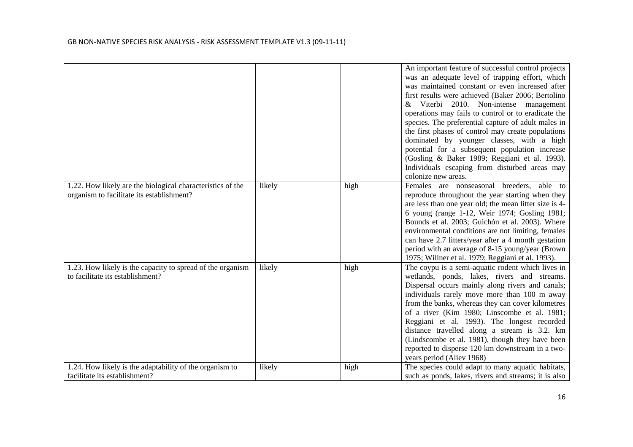|                                                                                                         |        |      | An important feature of successful control projects<br>was an adequate level of trapping effort, which<br>was maintained constant or even increased after<br>first results were achieved (Baker 2006; Bertolino<br>& Viterbi 2010. Non-intense management<br>operations may fails to control or to eradicate the<br>species. The preferential capture of adult males in<br>the first phases of control may create populations<br>dominated by younger classes, with a high<br>potential for a subsequent population increase<br>(Gosling & Baker 1989; Reggiani et al. 1993).<br>Individuals escaping from disturbed areas may<br>colonize new areas. |
|---------------------------------------------------------------------------------------------------------|--------|------|-------------------------------------------------------------------------------------------------------------------------------------------------------------------------------------------------------------------------------------------------------------------------------------------------------------------------------------------------------------------------------------------------------------------------------------------------------------------------------------------------------------------------------------------------------------------------------------------------------------------------------------------------------|
| 1.22. How likely are the biological characteristics of the<br>organism to facilitate its establishment? | likely | high | Females are nonseasonal breeders,<br>able to<br>reproduce throughout the year starting when they<br>are less than one year old; the mean litter size is 4-<br>6 young (range 1-12, Weir 1974; Gosling 1981;<br>Bounds et al. 2003; Guichón et al. 2003). Where<br>environmental conditions are not limiting, females<br>can have 2.7 litters/year after a 4 month gestation<br>period with an average of 8-15 young/year (Brown<br>1975; Willner et al. 1979; Reggiani et al. 1993).                                                                                                                                                                  |
| 1.23. How likely is the capacity to spread of the organism<br>to facilitate its establishment?          | likely | high | The coypu is a semi-aquatic rodent which lives in<br>wetlands, ponds, lakes, rivers and streams.<br>Dispersal occurs mainly along rivers and canals;<br>individuals rarely move more than 100 m away<br>from the banks, whereas they can cover kilometres<br>of a river (Kim 1980; Linscombe et al. 1981;<br>Reggiani et al. 1993). The longest recorded<br>distance travelled along a stream is 3.2. km<br>(Lindscombe et al. 1981), though they have been<br>reported to disperse 120 km downstream in a two-<br>years period (Aliev 1968)                                                                                                          |
| 1.24. How likely is the adaptability of the organism to<br>facilitate its establishment?                | likely | high | The species could adapt to many aquatic habitats,<br>such as ponds, lakes, rivers and streams; it is also                                                                                                                                                                                                                                                                                                                                                                                                                                                                                                                                             |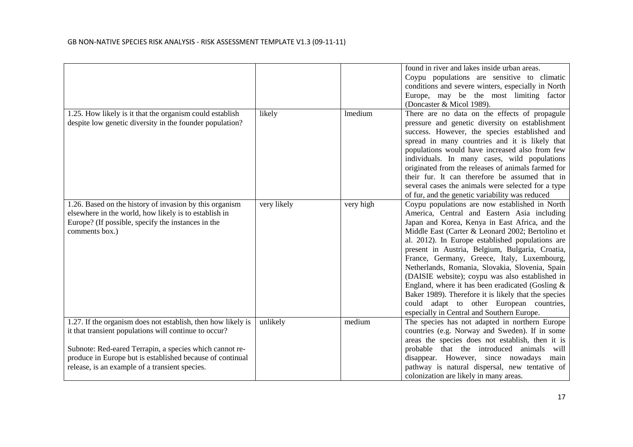|                                                                                                                                                                                                                                                                                                 |             |                | found in river and lakes inside urban areas.<br>Coypu populations are sensitive to climatic<br>conditions and severe winters, especially in North<br>Europe, may be the most limiting factor<br>(Doncaster & Micol 1989).                                                                                                                                                                                                                                                                                                                                                                                                                                                |
|-------------------------------------------------------------------------------------------------------------------------------------------------------------------------------------------------------------------------------------------------------------------------------------------------|-------------|----------------|--------------------------------------------------------------------------------------------------------------------------------------------------------------------------------------------------------------------------------------------------------------------------------------------------------------------------------------------------------------------------------------------------------------------------------------------------------------------------------------------------------------------------------------------------------------------------------------------------------------------------------------------------------------------------|
| 1.25. How likely is it that the organism could establish<br>despite low genetic diversity in the founder population?                                                                                                                                                                            | likely      | <b>lmedium</b> | There are no data on the effects of propagule<br>pressure and genetic diversity on establishment<br>success. However, the species established and<br>spread in many countries and it is likely that<br>populations would have increased also from few<br>individuals. In many cases, wild populations<br>originated from the releases of animals farmed for<br>their fur. It can therefore be assumed that in<br>several cases the animals were selected for a type<br>of fur, and the genetic variability was reduced                                                                                                                                                   |
| 1.26. Based on the history of invasion by this organism<br>elsewhere in the world, how likely is to establish in<br>Europe? (If possible, specify the instances in the<br>comments box.)                                                                                                        | very likely | very high      | Coypu populations are now established in North<br>America, Central and Eastern Asia including<br>Japan and Korea, Kenya in East Africa, and the<br>Middle East (Carter & Leonard 2002; Bertolino et<br>al. 2012). In Europe established populations are<br>present in Austria, Belgium, Bulgaria, Croatia,<br>France, Germany, Greece, Italy, Luxembourg,<br>Netherlands, Romania, Slovakia, Slovenia, Spain<br>(DAISIE website); coypu was also established in<br>England, where it has been eradicated (Gosling $\&$<br>Baker 1989). Therefore it is likely that the species<br>could adapt to other European countries,<br>especially in Central and Southern Europe. |
| 1.27. If the organism does not establish, then how likely is<br>it that transient populations will continue to occur?<br>Subnote: Red-eared Terrapin, a species which cannot re-<br>produce in Europe but is established because of continual<br>release, is an example of a transient species. | unlikely    | medium         | The species has not adapted in northern Europe<br>countries (e.g. Norway and Sweden). If in some<br>areas the species does not establish, then it is<br>probable that the introduced animals will<br>disappear. However, since nowadays main<br>pathway is natural dispersal, new tentative of<br>colonization are likely in many areas.                                                                                                                                                                                                                                                                                                                                 |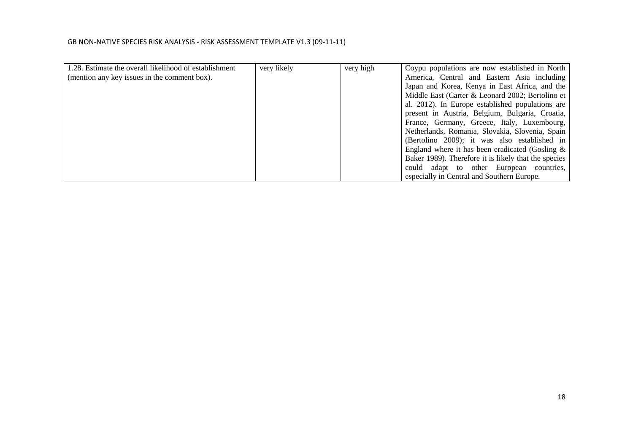| 1.28. Estimate the overall likelihood of establishment | very likely | very high | Coypu populations are now established in North       |
|--------------------------------------------------------|-------------|-----------|------------------------------------------------------|
| (mention any key issues in the comment box).           |             |           | America, Central and Eastern Asia including          |
|                                                        |             |           | Japan and Korea, Kenya in East Africa, and the       |
|                                                        |             |           | Middle East (Carter & Leonard 2002; Bertolino et     |
|                                                        |             |           | al. 2012). In Europe established populations are     |
|                                                        |             |           | present in Austria, Belgium, Bulgaria, Croatia,      |
|                                                        |             |           | France, Germany, Greece, Italy, Luxembourg,          |
|                                                        |             |           | Netherlands, Romania, Slovakia, Slovenia, Spain      |
|                                                        |             |           | (Bertolino 2009); it was also established in         |
|                                                        |             |           | England where it has been eradicated (Gosling $\&$   |
|                                                        |             |           | Baker 1989). Therefore it is likely that the species |
|                                                        |             |           | could adapt to other European countries,             |
|                                                        |             |           | especially in Central and Southern Europe.           |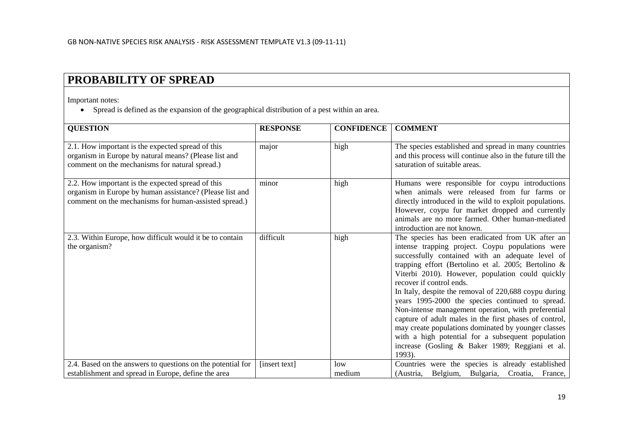# **PROBABILITY OF SPREAD**

Important notes:

• Spread is defined as the expansion of the geographical distribution of a pest within an area.

| <b>QUESTION</b>                                                                                                                                                        | <b>RESPONSE</b> | <b>CONFIDENCE</b> | <b>COMMENT</b>                                                                                                                                                                                                                                                                                                                                                                                                                                                                                                                                                                                                                                                                                            |
|------------------------------------------------------------------------------------------------------------------------------------------------------------------------|-----------------|-------------------|-----------------------------------------------------------------------------------------------------------------------------------------------------------------------------------------------------------------------------------------------------------------------------------------------------------------------------------------------------------------------------------------------------------------------------------------------------------------------------------------------------------------------------------------------------------------------------------------------------------------------------------------------------------------------------------------------------------|
| 2.1. How important is the expected spread of this<br>organism in Europe by natural means? (Please list and<br>comment on the mechanisms for natural spread.)           | major           | high              | The species established and spread in many countries<br>and this process will continue also in the future till the<br>saturation of suitable areas.                                                                                                                                                                                                                                                                                                                                                                                                                                                                                                                                                       |
| 2.2. How important is the expected spread of this<br>organism in Europe by human assistance? (Please list and<br>comment on the mechanisms for human-assisted spread.) | minor           | high              | Humans were responsible for coypu introductions<br>when animals were released from fur farms or<br>directly introduced in the wild to exploit populations.<br>However, coypu fur market dropped and currently<br>animals are no more farmed. Other human-mediated<br>introduction are not known.                                                                                                                                                                                                                                                                                                                                                                                                          |
| 2.3. Within Europe, how difficult would it be to contain<br>the organism?                                                                                              | difficult       | high              | The species has been eradicated from UK after an<br>intense trapping project. Coypu populations were<br>successfully contained with an adequate level of<br>trapping effort (Bertolino et al. 2005; Bertolino $\&$<br>Viterbi 2010). However, population could quickly<br>recover if control ends.<br>In Italy, despite the removal of 220,688 coypu during<br>years 1995-2000 the species continued to spread.<br>Non-intense management operation, with preferential<br>capture of adult males in the first phases of control,<br>may create populations dominated by younger classes<br>with a high potential for a subsequent population<br>increase (Gosling & Baker 1989; Reggiani et al.<br>1993). |
| 2.4. Based on the answers to questions on the potential for                                                                                                            | [insert text]   | low               | Countries were the species is already established                                                                                                                                                                                                                                                                                                                                                                                                                                                                                                                                                                                                                                                         |
| establishment and spread in Europe, define the area                                                                                                                    |                 | medium            | (Austria, Belgium, Bulgaria, Croatia, France,                                                                                                                                                                                                                                                                                                                                                                                                                                                                                                                                                                                                                                                             |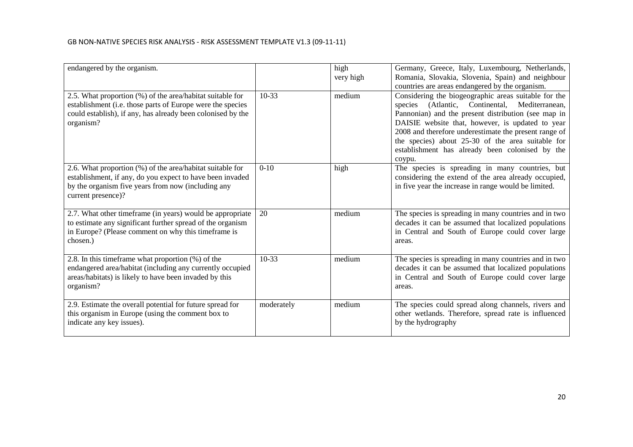| endangered by the organism.                                                                                                                                                                         |            | high<br>very high | Germany, Greece, Italy, Luxembourg, Netherlands,<br>Romania, Slovakia, Slovenia, Spain) and neighbour                                                                                                                                                                                                                                                                                        |
|-----------------------------------------------------------------------------------------------------------------------------------------------------------------------------------------------------|------------|-------------------|----------------------------------------------------------------------------------------------------------------------------------------------------------------------------------------------------------------------------------------------------------------------------------------------------------------------------------------------------------------------------------------------|
|                                                                                                                                                                                                     |            |                   | countries are areas endangered by the organism.                                                                                                                                                                                                                                                                                                                                              |
| 2.5. What proportion (%) of the area/habitat suitable for<br>establishment (i.e. those parts of Europe were the species<br>could establish), if any, has already been colonised by the<br>organism? | $10-33$    | medium            | Considering the biogeographic areas suitable for the<br>species (Atlantic, Continental, Mediterranean,<br>Pannonian) and the present distribution (see map in<br>DAISIE website that, however, is updated to year<br>2008 and therefore underestimate the present range of<br>the species) about 25-30 of the area suitable for<br>establishment has already been colonised by the<br>coypu. |
| 2.6. What proportion (%) of the area/habitat suitable for<br>establishment, if any, do you expect to have been invaded<br>by the organism five years from now (including any<br>current presence)?  | $0-10$     | high              | The species is spreading in many countries, but<br>considering the extend of the area already occupied,<br>in five year the increase in range would be limited.                                                                                                                                                                                                                              |
| 2.7. What other timeframe (in years) would be appropriate<br>to estimate any significant further spread of the organism<br>in Europe? (Please comment on why this timeframe is<br>chosen.)          | 20         | medium            | The species is spreading in many countries and in two<br>decades it can be assumed that localized populations<br>in Central and South of Europe could cover large<br>areas.                                                                                                                                                                                                                  |
| 2.8. In this timeframe what proportion (%) of the<br>endangered area/habitat (including any currently occupied<br>areas/habitats) is likely to have been invaded by this<br>organism?               | $10-33$    | medium            | The species is spreading in many countries and in two<br>decades it can be assumed that localized populations<br>in Central and South of Europe could cover large<br>areas.                                                                                                                                                                                                                  |
| 2.9. Estimate the overall potential for future spread for<br>this organism in Europe (using the comment box to<br>indicate any key issues).                                                         | moderately | medium            | The species could spread along channels, rivers and<br>other wetlands. Therefore, spread rate is influenced<br>by the hydrography                                                                                                                                                                                                                                                            |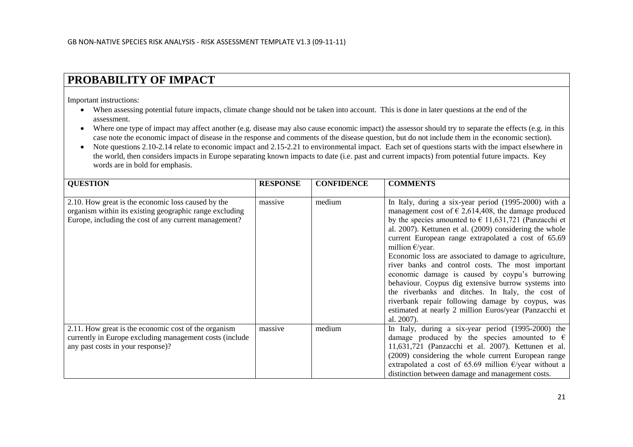## **PROBABILITY OF IMPACT**

Important instructions:

- When assessing potential future impacts, climate change should not be taken into account. This is done in later questions at the end of the assessment.
- Where one type of impact may affect another (e.g. disease may also cause economic impact) the assessor should try to separate the effects (e.g. in this case note the economic impact of disease in the response and comments of the disease question, but do not include them in the economic section).
- Note questions 2.10-2.14 relate to economic impact and 2.15-2.21 to environmental impact. Each set of questions starts with the impact elsewhere in the world, then considers impacts in Europe separating known impacts to date (i.e. past and current impacts) from potential future impacts. Key words are in bold for emphasis.

| <b>QUESTION</b>                                                                                                                                                        | <b>RESPONSE</b> | <b>CONFIDENCE</b> | <b>COMMENTS</b>                                                                                                                                                                                                                                                                                                                                                                                                                                                                                                                                                                                                                                                                                                                            |
|------------------------------------------------------------------------------------------------------------------------------------------------------------------------|-----------------|-------------------|--------------------------------------------------------------------------------------------------------------------------------------------------------------------------------------------------------------------------------------------------------------------------------------------------------------------------------------------------------------------------------------------------------------------------------------------------------------------------------------------------------------------------------------------------------------------------------------------------------------------------------------------------------------------------------------------------------------------------------------------|
| 2.10. How great is the economic loss caused by the<br>organism within its existing geographic range excluding<br>Europe, including the cost of any current management? | massive         | medium            | In Italy, during a six-year period (1995-2000) with a<br>management cost of $\epsilon$ 2,614,408, the damage produced<br>by the species amounted to $\in$ 11,631,721 (Panzacchi et<br>al. 2007). Kettunen et al. (2009) considering the whole<br>current European range extrapolated a cost of 65.69<br>million $\epsilon$ /year.<br>Economic loss are associated to damage to agriculture,<br>river banks and control costs. The most important<br>economic damage is caused by coypu's burrowing<br>behaviour. Coypus dig extensive burrow systems into<br>the riverbanks and ditches. In Italy, the cost of<br>riverbank repair following damage by coypus, was<br>estimated at nearly 2 million Euros/year (Panzacchi et<br>al. 2007). |
| 2.11. How great is the economic cost of the organism<br>currently in Europe excluding management costs (include)<br>any past costs in your response)?                  | massive         | medium            | In Italy, during a six-year period (1995-2000) the<br>damage produced by the species amounted to $\epsilon$<br>11,631,721 (Panzacchi et al. 2007). Kettunen et al.<br>(2009) considering the whole current European range<br>extrapolated a cost of 65.69 million $E$ /year without a<br>distinction between damage and management costs.                                                                                                                                                                                                                                                                                                                                                                                                  |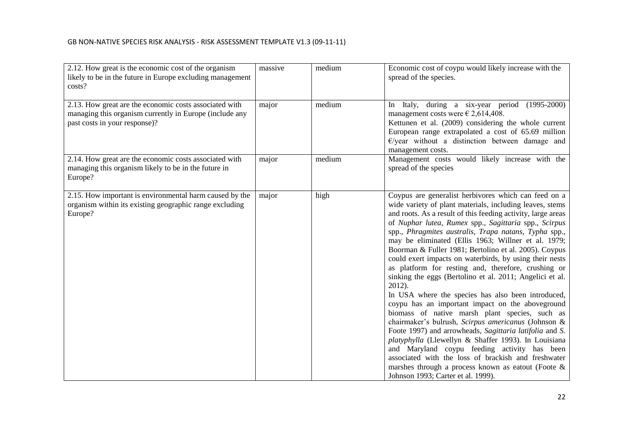| 2.12. How great is the economic cost of the organism<br>likely to be in the future in Europe excluding management<br>costs?                        | massive | medium | Economic cost of coypu would likely increase with the<br>spread of the species.                                                                                                                                                                                                                                                                                                                                                                                                                                                                                                                                                                                                                                                                                                                                                                                                                                                                                                                                                                                                                                                                        |
|----------------------------------------------------------------------------------------------------------------------------------------------------|---------|--------|--------------------------------------------------------------------------------------------------------------------------------------------------------------------------------------------------------------------------------------------------------------------------------------------------------------------------------------------------------------------------------------------------------------------------------------------------------------------------------------------------------------------------------------------------------------------------------------------------------------------------------------------------------------------------------------------------------------------------------------------------------------------------------------------------------------------------------------------------------------------------------------------------------------------------------------------------------------------------------------------------------------------------------------------------------------------------------------------------------------------------------------------------------|
| 2.13. How great are the economic costs associated with<br>managing this organism currently in Europe (include any<br>past costs in your response)? | major   | medium | In Italy, during a six-year period (1995-2000)<br>management costs were $\epsilon$ 2,614,408.<br>Kettunen et al. (2009) considering the whole current<br>European range extrapolated a cost of 65.69 million<br>$E$ /year without a distinction between damage and<br>management costs.                                                                                                                                                                                                                                                                                                                                                                                                                                                                                                                                                                                                                                                                                                                                                                                                                                                                |
| 2.14. How great are the economic costs associated with<br>managing this organism likely to be in the future in<br>Europe?                          | major   | medium | Management costs would likely increase with the<br>spread of the species                                                                                                                                                                                                                                                                                                                                                                                                                                                                                                                                                                                                                                                                                                                                                                                                                                                                                                                                                                                                                                                                               |
| 2.15. How important is environmental harm caused by the<br>organism within its existing geographic range excluding<br>Europe?                      | major   | high   | Coypus are generalist herbivores which can feed on a<br>wide variety of plant materials, including leaves, stems<br>and roots. As a result of this feeding activity, large areas<br>of Nuphar lutea, Rumex spp., Sagittaria spp., Scirpus<br>spp., Phragmites australis, Trapa natans, Typha spp.,<br>may be eliminated (Ellis 1963; Willner et al. 1979;<br>Boorman & Fuller 1981; Bertolino et al. 2005). Coypus<br>could exert impacts on waterbirds, by using their nests<br>as platform for resting and, therefore, crushing or<br>sinking the eggs (Bertolino et al. 2011; Angelici et al.<br>2012).<br>In USA where the species has also been introduced,<br>coypu has an important impact on the aboveground<br>biomass of native marsh plant species, such as<br>chairmaker's bulrush, Scirpus americanus (Johnson &<br>Foote 1997) and arrowheads, Sagittaria latifolia and S.<br>platyphylla (Llewellyn & Shaffer 1993). In Louisiana<br>and Maryland coypu feeding activity has been<br>associated with the loss of brackish and freshwater<br>marshes through a process known as eatout (Foote $\&$<br>Johnson 1993; Carter et al. 1999). |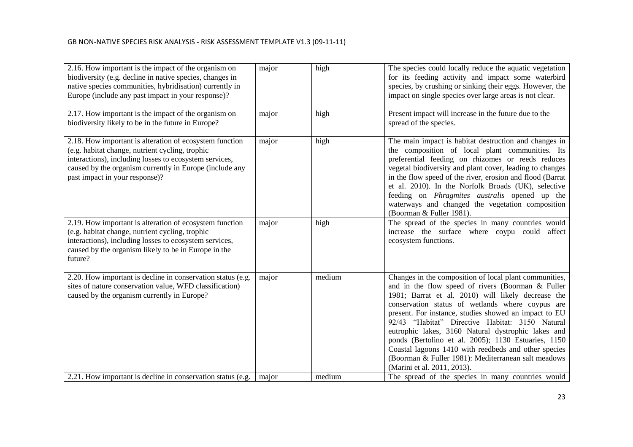| 2.16. How important is the impact of the organism on<br>biodiversity (e.g. decline in native species, changes in<br>native species communities, hybridisation) currently in<br>Europe (include any past impact in your response)?                                 | major | high   | The species could locally reduce the aquatic vegetation<br>for its feeding activity and impact some waterbird<br>species, by crushing or sinking their eggs. However, the<br>impact on single species over large areas is not clear.                                                                                                                                                                                                                                                                                                                                                         |
|-------------------------------------------------------------------------------------------------------------------------------------------------------------------------------------------------------------------------------------------------------------------|-------|--------|----------------------------------------------------------------------------------------------------------------------------------------------------------------------------------------------------------------------------------------------------------------------------------------------------------------------------------------------------------------------------------------------------------------------------------------------------------------------------------------------------------------------------------------------------------------------------------------------|
| 2.17. How important is the impact of the organism on<br>biodiversity likely to be in the future in Europe?                                                                                                                                                        | major | high   | Present impact will increase in the future due to the<br>spread of the species.                                                                                                                                                                                                                                                                                                                                                                                                                                                                                                              |
| 2.18. How important is alteration of ecosystem function<br>(e.g. habitat change, nutrient cycling, trophic<br>interactions), including losses to ecosystem services,<br>caused by the organism currently in Europe (include any<br>past impact in your response)? | major | high   | The main impact is habitat destruction and changes in<br>the composition of local plant communities. Its<br>preferential feeding on rhizomes or reeds reduces<br>vegetal biodiversity and plant cover, leading to changes<br>in the flow speed of the river, erosion and flood (Barrat<br>et al. 2010). In the Norfolk Broads (UK), selective<br>feeding on Phragmites australis opened up the<br>waterways and changed the vegetation composition<br>(Boorman & Fuller 1981).                                                                                                               |
| 2.19. How important is alteration of ecosystem function<br>(e.g. habitat change, nutrient cycling, trophic<br>interactions), including losses to ecosystem services,<br>caused by the organism likely to be in Europe in the<br>future?                           | major | high   | The spread of the species in many countries would<br>increase the surface where coypu could affect<br>ecosystem functions.                                                                                                                                                                                                                                                                                                                                                                                                                                                                   |
| 2.20. How important is decline in conservation status (e.g.<br>sites of nature conservation value, WFD classification)<br>caused by the organism currently in Europe?                                                                                             | major | medium | Changes in the composition of local plant communities,<br>and in the flow speed of rivers (Boorman & Fuller<br>1981; Barrat et al. 2010) will likely decrease the<br>conservation status of wetlands where coypus are<br>present. For instance, studies showed an impact to EU<br>92/43 "Habitat" Directive Habitat: 3150 Natural<br>eutrophic lakes, 3160 Natural dystrophic lakes and<br>ponds (Bertolino et al. 2005); 1130 Estuaries, 1150<br>Coastal lagoons 1410 with reedbeds and other species<br>(Boorman & Fuller 1981): Mediterranean salt meadows<br>(Marini et al. 2011, 2013). |
| 2.21. How important is decline in conservation status (e.g.                                                                                                                                                                                                       | major | medium | The spread of the species in many countries would                                                                                                                                                                                                                                                                                                                                                                                                                                                                                                                                            |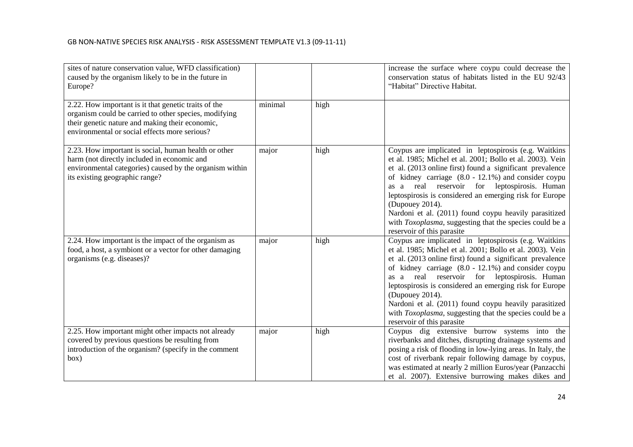| sites of nature conservation value, WFD classification)<br>caused by the organism likely to be in the future in<br>Europe?                                                                                        |         |      | increase the surface where coypu could decrease the<br>conservation status of habitats listed in the EU 92/43<br>"Habitat" Directive Habitat.                                                                                                                                                                                                                                                                                                                                                                             |
|-------------------------------------------------------------------------------------------------------------------------------------------------------------------------------------------------------------------|---------|------|---------------------------------------------------------------------------------------------------------------------------------------------------------------------------------------------------------------------------------------------------------------------------------------------------------------------------------------------------------------------------------------------------------------------------------------------------------------------------------------------------------------------------|
| 2.22. How important is it that genetic traits of the<br>organism could be carried to other species, modifying<br>their genetic nature and making their economic,<br>environmental or social effects more serious? | minimal | high |                                                                                                                                                                                                                                                                                                                                                                                                                                                                                                                           |
| 2.23. How important is social, human health or other<br>harm (not directly included in economic and<br>environmental categories) caused by the organism within<br>its existing geographic range?                  | major   | high | Coypus are implicated in leptospirosis (e.g. Waitkins<br>et al. 1985; Michel et al. 2001; Bollo et al. 2003). Vein<br>et al. (2013 online first) found a significant prevalence<br>of kidney carriage $(8.0 - 12.1\%)$ and consider coypu<br>as a real reservoir for leptospirosis. Human<br>leptospirosis is considered an emerging risk for Europe<br>(Dupouey 2014).<br>Nardoni et al. (2011) found coypu heavily parasitized<br>with Toxoplasma, suggesting that the species could be a<br>reservoir of this parasite |
| 2.24. How important is the impact of the organism as<br>food, a host, a symbiont or a vector for other damaging<br>organisms (e.g. diseases)?                                                                     | major   | high | Coypus are implicated in leptospirosis (e.g. Waitkins<br>et al. 1985; Michel et al. 2001; Bollo et al. 2003). Vein<br>et al. (2013 online first) found a significant prevalence<br>of kidney carriage $(8.0 - 12.1\%)$ and consider coypu<br>as a real reservoir for leptospirosis. Human<br>leptospirosis is considered an emerging risk for Europe<br>(Dupouey 2014).<br>Nardoni et al. (2011) found coypu heavily parasitized<br>with Toxoplasma, suggesting that the species could be a<br>reservoir of this parasite |
| 2.25. How important might other impacts not already<br>covered by previous questions be resulting from<br>introduction of the organism? (specify in the comment<br>box)                                           | major   | high | Coypus dig extensive burrow systems into the<br>riverbanks and ditches, disrupting drainage systems and<br>posing a risk of flooding in low-lying areas. In Italy, the<br>cost of riverbank repair following damage by coypus,<br>was estimated at nearly 2 million Euros/year (Panzacchi<br>et al. 2007). Extensive burrowing makes dikes and                                                                                                                                                                            |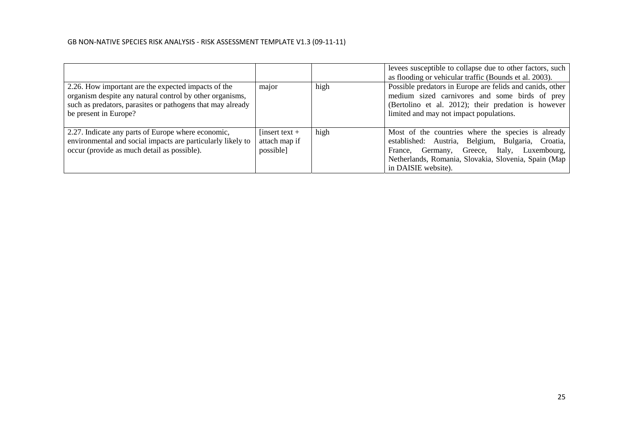|                                                                                                                                                                                                        |                                              |      | levees susceptible to collapse due to other factors, such<br>as flooding or vehicular traffic (Bounds et al. 2003).                                                                                                                      |
|--------------------------------------------------------------------------------------------------------------------------------------------------------------------------------------------------------|----------------------------------------------|------|------------------------------------------------------------------------------------------------------------------------------------------------------------------------------------------------------------------------------------------|
| 2.26. How important are the expected impacts of the<br>organism despite any natural control by other organisms,<br>such as predators, parasites or pathogens that may already<br>be present in Europe? | major                                        | high | Possible predators in Europe are felids and canids, other<br>medium sized carnivores and some birds of prey<br>(Bertolino et al. 2012); their predation is however<br>limited and may not impact populations.                            |
| 2.27. Indicate any parts of Europe where economic,<br>environmental and social impacts are particularly likely to<br>occur (provide as much detail as possible).                                       | [insert text +<br>attach map if<br>possible] | high | Most of the countries where the species is already<br>established: Austria, Belgium, Bulgaria, Croatia,<br>Germany, Greece, Italy, Luxembourg,<br>France.<br>Netherlands, Romania, Slovakia, Slovenia, Spain (Map<br>in DAISIE website). |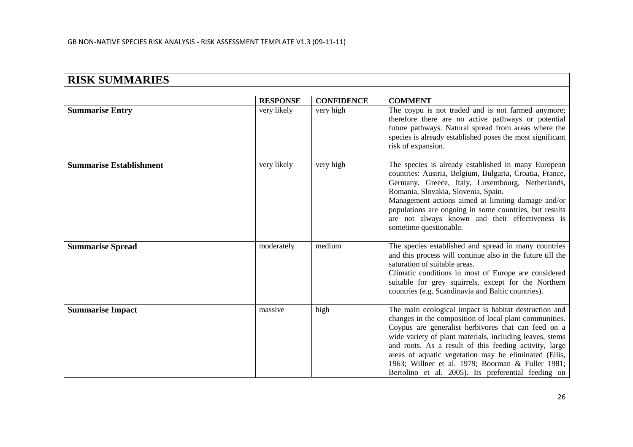| <b>RISK SUMMARIES</b>          |                 |                   |                                                                                                                                                                                                                                                                                                                                                                                                                                                                   |  |
|--------------------------------|-----------------|-------------------|-------------------------------------------------------------------------------------------------------------------------------------------------------------------------------------------------------------------------------------------------------------------------------------------------------------------------------------------------------------------------------------------------------------------------------------------------------------------|--|
|                                |                 |                   |                                                                                                                                                                                                                                                                                                                                                                                                                                                                   |  |
|                                | <b>RESPONSE</b> | <b>CONFIDENCE</b> | <b>COMMENT</b>                                                                                                                                                                                                                                                                                                                                                                                                                                                    |  |
| <b>Summarise Entry</b>         | very likely     | very high         | The coypu is not traded and is not farmed anymore;<br>therefore there are no active pathways or potential<br>future pathways. Natural spread from areas where the<br>species is already established poses the most significant<br>risk of expansion.                                                                                                                                                                                                              |  |
| <b>Summarise Establishment</b> | very likely     | very high         | The species is already established in many European<br>countries: Austria, Belgium, Bulgaria, Croatia, France,<br>Germany, Greece, Italy, Luxembourg, Netherlands,<br>Romania, Slovakia, Slovenia, Spain.<br>Management actions aimed at limiting damage and/or<br>populations are ongoing in some countries, but results<br>are not always known and their effectiveness is<br>sometime questionable.                                                            |  |
| <b>Summarise Spread</b>        | moderately      | medium            | The species established and spread in many countries<br>and this process will continue also in the future till the<br>saturation of suitable areas.<br>Climatic conditions in most of Europe are considered<br>suitable for grey squirrels, except for the Northern<br>countries (e.g. Scandinavia and Baltic countries).                                                                                                                                         |  |
| <b>Summarise Impact</b>        | massive         | high              | The main ecological impact is habitat destruction and<br>changes in the composition of local plant communities.<br>Coypus are generalist herbivores that can feed on a<br>wide variety of plant materials, including leaves, stems<br>and roots. As a result of this feeding activity, large<br>areas of aquatic vegetation may be eliminated (Ellis,<br>1963; Willner et al. 1979; Boorman & Fuller 1981;<br>Bertolino et al. 2005). Its preferential feeding on |  |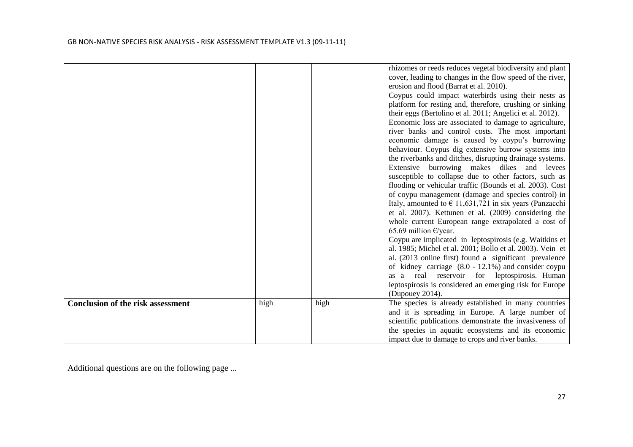|                                          |      |      | rhizomes or reeds reduces vegetal biodiversity and plant                |
|------------------------------------------|------|------|-------------------------------------------------------------------------|
|                                          |      |      | cover, leading to changes in the flow speed of the river,               |
|                                          |      |      | erosion and flood (Barrat et al. 2010).                                 |
|                                          |      |      | Coypus could impact waterbirds using their nests as                     |
|                                          |      |      | platform for resting and, therefore, crushing or sinking                |
|                                          |      |      | their eggs (Bertolino et al. 2011; Angelici et al. 2012).               |
|                                          |      |      | Economic loss are associated to damage to agriculture,                  |
|                                          |      |      | river banks and control costs. The most important                       |
|                                          |      |      | economic damage is caused by coypu's burrowing                          |
|                                          |      |      | behaviour. Coypus dig extensive burrow systems into                     |
|                                          |      |      | the riverbanks and ditches, disrupting drainage systems.                |
|                                          |      |      | Extensive burrowing makes dikes and<br>levees                           |
|                                          |      |      | susceptible to collapse due to other factors, such as                   |
|                                          |      |      | flooding or vehicular traffic (Bounds et al. 2003). Cost                |
|                                          |      |      | of coypu management (damage and species control) in                     |
|                                          |      |      | Italy, amounted to $\epsilon$ 11,631,721 in six years (Panzacchi        |
|                                          |      |      | et al. 2007). Kettunen et al. (2009) considering the                    |
|                                          |      |      | whole current European range extrapolated a cost of                     |
|                                          |      |      | 65.69 million $\epsilon$ /year.                                         |
|                                          |      |      | Coypu are implicated in leptospirosis (e.g. Waitkins et                 |
|                                          |      |      | al. 1985; Michel et al. 2001; Bollo et al. 2003). Vein et               |
|                                          |      |      | al. (2013 online first) found a significant prevalence                  |
|                                          |      |      | of kidney carriage $(8.0 - 12.1\%)$ and consider coypu                  |
|                                          |      |      | as a real reservoir for leptospirosis. Human                            |
|                                          |      |      | leptospirosis is considered an emerging risk for Europe                 |
|                                          |      |      | (Dupouey 2014).<br>The species is already established in many countries |
| <b>Conclusion of the risk assessment</b> | high | high | and it is spreading in Europe. A large number of                        |
|                                          |      |      | scientific publications demonstrate the invasiveness of                 |
|                                          |      |      | the species in aquatic ecosystems and its economic                      |
|                                          |      |      | impact due to damage to crops and river banks.                          |
|                                          |      |      |                                                                         |

Additional questions are on the following page ...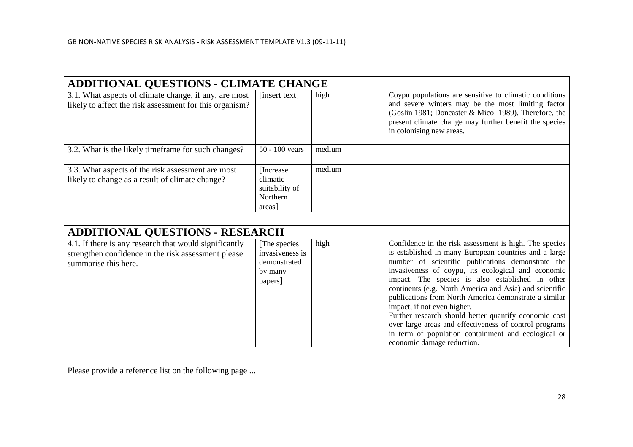| <b>ADDITIONAL QUESTIONS - CLIMATE CHANGE</b>                                                                                          |                                                                        |        |                                                                                                                                                                                                                                                                                                                                                                                                                                                                                                                                                                                                                                           |  |  |
|---------------------------------------------------------------------------------------------------------------------------------------|------------------------------------------------------------------------|--------|-------------------------------------------------------------------------------------------------------------------------------------------------------------------------------------------------------------------------------------------------------------------------------------------------------------------------------------------------------------------------------------------------------------------------------------------------------------------------------------------------------------------------------------------------------------------------------------------------------------------------------------------|--|--|
| 3.1. What aspects of climate change, if any, are most<br>likely to affect the risk assessment for this organism?                      | [insert text]                                                          | high   | Coypu populations are sensitive to climatic conditions<br>and severe winters may be the most limiting factor<br>(Goslin 1981; Doncaster & Micol 1989). Therefore, the<br>present climate change may further benefit the species<br>in colonising new areas.                                                                                                                                                                                                                                                                                                                                                                               |  |  |
| 3.2. What is the likely time frame for such changes?                                                                                  | $50 - 100$ years                                                       | medium |                                                                                                                                                                                                                                                                                                                                                                                                                                                                                                                                                                                                                                           |  |  |
| 3.3. What aspects of the risk assessment are most<br>likely to change as a result of climate change?                                  | [Increase]<br>climatic<br>suitability of<br>Northern<br>areas          | medium |                                                                                                                                                                                                                                                                                                                                                                                                                                                                                                                                                                                                                                           |  |  |
|                                                                                                                                       |                                                                        |        |                                                                                                                                                                                                                                                                                                                                                                                                                                                                                                                                                                                                                                           |  |  |
| <b>ADDITIONAL QUESTIONS - RESEARCH</b>                                                                                                |                                                                        |        |                                                                                                                                                                                                                                                                                                                                                                                                                                                                                                                                                                                                                                           |  |  |
| 4.1. If there is any research that would significantly<br>strengthen confidence in the risk assessment please<br>summarise this here. | [The species]<br>invasiveness is<br>demonstrated<br>by many<br>papers] | high   | Confidence in the risk assessment is high. The species<br>is established in many European countries and a large<br>number of scientific publications demonstrate the<br>invasiveness of coypu, its ecological and economic<br>impact. The species is also established in other<br>continents (e.g. North America and Asia) and scientific<br>publications from North America demonstrate a similar<br>impact, if not even higher.<br>Further research should better quantify economic cost<br>over large areas and effectiveness of control programs<br>in term of population containment and ecological or<br>economic damage reduction. |  |  |

Please provide a reference list on the following page ...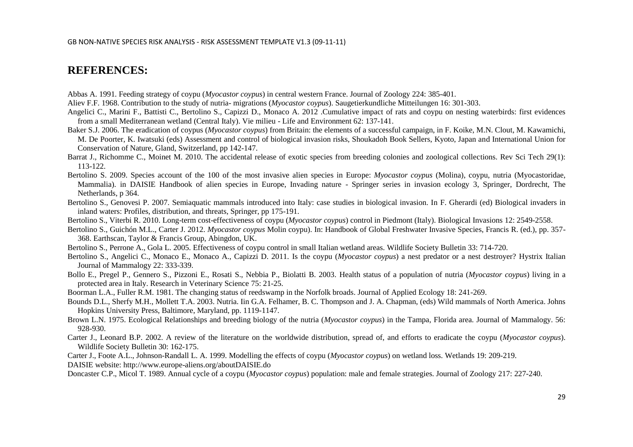## **REFERENCES:**

Abbas A. 1991. Feeding strategy of coypu (*Myocastor coypus*) in central western France. Journal of Zoology 224: 385-401.

Aliev F.F. 1968. Contribution to the study of nutria- migrations (*Myocastor coypus*). Saugetierkundliche Mitteilungen 16: 301-303.

- Angelici C., Marini F., Battisti C., Bertolino S., Capizzi D., Monaco A. 2012 .Cumulative impact of rats and coypu on nesting waterbirds: first evidences from a small Mediterranean wetland (Central Italy). Vie milieu - Life and Environment 62: 137-141.
- Baker S.J. 2006. The eradication of coypus (*Myocastor coypus*) from Britain: the elements of a successful campaign, in F. Koike, M.N. Clout, M. Kawamichi, M. De Poorter, K. Iwatsuki (eds) Assessment and control of biological invasion risks, Shoukadoh Book Sellers, Kyoto, Japan and International Union for Conservation of Nature, Gland, Switzerland, pp 142-147.
- Barrat J., Richomme C., Moinet M. 2010. The accidental release of exotic species from breeding colonies and zoological collections. Rev Sci Tech 29(1): 113-122.
- Bertolino S. 2009. Species account of the 100 of the most invasive alien species in Europe: *Myocastor coypus* (Molina), coypu, nutria (Myocastoridae, Mammalia)*.* in DAISIE Handbook of alien species in Europe, Invading nature - Springer series in invasion ecology 3, Springer, Dordrecht, The Netherlands, p 364.
- Bertolino S., Genovesi P. 2007. Semiaquatic mammals introduced into Italy: case studies in biological invasion. In F. Gherardi (ed) Biological invaders in inland waters: Profiles, distribution, and threats, Springer, pp 175-191.
- Bertolino S., Viterbi R. 2010. Long-term cost-effectiveness of coypu (*Myocastor coypus*) control in Piedmont (Italy). Biological Invasions 12: 2549*-*2558.
- Bertolino S., Guichón M.L., Carter J. 2012. *Myocastor coypus* Molin coypu). In: Handbook of Global Freshwater Invasive Species, Francis R. (ed.), pp. 357- 368. Earthscan, Taylor & Francis Group, Abingdon, UK.
- Bertolino S., Perrone A., Gola L. 2005. Effectiveness of coypu control in small Italian wetland areas. Wildlife Society Bulletin 33: 714*-*720.
- Bertolino S., Angelici C., Monaco E., Monaco A., Capizzi D. 2011. Is the coypu (*Myocastor coypus*) a nest predator or a nest destroyer? Hystrix Italian Journal of Mammalogy 22: 333-339.
- Bollo E., Pregel P., Gennero S., Pizzoni E., Rosati S., Nebbia P., Biolatti B. 2003. Health status of a population of nutria (*Myocastor coypus*) living in a protected area in Italy. Research in Veterinary Science 75: 21-25.
- Boorman L.A., Fuller R.M. 1981. The changing status of reedswamp in the Norfolk broads. Journal of Applied Ecology 18: 241*-*269.
- Bounds D.L., Sherfy M.H., Mollett T.A. 2003. Nutria. Iin G.A. Felhamer, B. C. Thompson and J. A. Chapman, (eds) Wild mammals of North America. Johns Hopkins University Press, Baltimore, Maryland, pp. 1119*-*1147.
- Brown L.N. 1975. Ecological Relationships and breeding biology of the nutria (*Myocastor coypus*) in the Tampa, Florida area*.* Journal of Mammalogy. 56: 928*-*930.
- Carter J., Leonard B.P. 2002. A review of the literature on the worldwide distribution, spread of, and efforts to eradicate the coypu (*Myocastor coypus*). Wildlife Society Bulletin 30: 162*-*175.
- Carter J., Foote A.L., Johnson-Randall L. A. 1999. Modelling the effects of coypu (*Myocastor coypus*) on wetland loss. Wetlands 19: 209*-*219.

DAISIE website: http://www.europe-aliens.org/aboutDAISIE.do

Doncaster C.P., Micol T. 1989. Annual cycle of a coypu (*Myocastor coypus*) population: male and female strategies. Journal of Zoology 217: 227*-*240.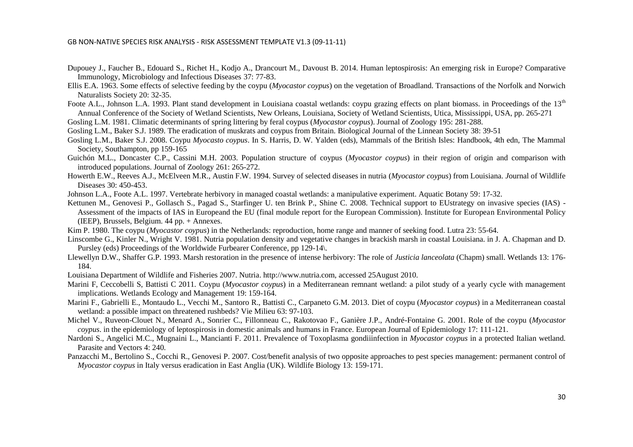- Dupouey J., Faucher B., Edouard S., Richet H., Kodjo A., Drancourt M., Davoust B. 2014. Human leptospirosis: An emerging risk in Europe? Comparative Immunology, Microbiology and Infectious Diseases 37: 77*-*83.
- Ellis E.A. 1963. Some effects of selective feeding by the coypu (*Myocastor coypus*) on the vegetation of Broadland. Transactions of the Norfolk and Norwich Naturalists Society 20: 32*-*35.
- Foote A.L., Johnson L.A. 1993. Plant stand development in Louisiana coastal wetlands: coypu grazing effects on plant biomass. in Proceedings of the  $13<sup>th</sup>$ Annual Conference of the Society of Wetland Scientists, New Orleans, Louisiana, Society of Wetland Scientists, Utica, Mississippi, USA, pp. 265*-*271
- Gosling L.M. 1981. Climatic determinants of spring littering by feral coypus (*Myocastor coypus*). Journal of Zoology 195: 281*-*288.
- Gosling L.M., Baker S.J. 1989. The eradication of muskrats and coypus from Britain. Biological Journal of the Linnean Society 38: 39*-*51
- Gosling L.M., Baker S.J. 2008. Coypu *Myocasto coypus*. In S. Harris, D. W. Yalden (eds), Mammals of the British Isles: Handbook, 4th edn, The Mammal Society, Southampton, pp 159*-*165
- Guichón M.L., Doncaster C.P., Cassini M.H. 2003. Population structure of coypus (*Myocastor coypus*) in their region of origin and comparison with introduced populations. Journal of Zoology 261: 265*-*272.
- Howerth E.W., Reeves A.J., McElveen M.R., Austin F.W. 1994. Survey of selected diseases in nutria (*Myocastor coypus*) from Louisiana. *J*ournal of Wildlife Diseases 30: 450*-*453.
- Johnson L.A., Foote A.L. 1997. Vertebrate herbivory in managed coastal wetlands: a manipulative experiment. Aquatic Botany 59: 17*-*32.
- Kettunen M., Genovesi P., Gollasch S., Pagad S., Starfinger U. ten Brink P., Shine C. 2008. Technical support to EUstrategy on invasive species (IAS) -Assessment of the impacts of IAS in Europeand the EU (final module report for the European Commission). Institute for European Environmental Policy (IEEP), Brussels, Belgium. 44 pp. + Annexes.
- Kim P. 1980. The coypu (*Myocastor coypus*) in the Netherlands: reproduction, home range and manner of seeking food. Lutra 23: 55*-*64.
- Linscombe G., Kinler N., Wright V. 1981. Nutria population density and vegetative changes in brackish marsh in coastal Louisiana. in J. A. Chapman and D. Pursley (eds) Proceedings of the Worldwide Furbearer Conference, pp 129*-*14\.
- Llewellyn D.W., Shaffer G.P. 1993. Marsh restoration in the presence of intense herbivory: The role of *Justicia lanceolata* (Chapm) small. Wetlands 13: 176- 184.
- Louisiana Department of Wildlife and Fisheries 2007. Nutria. http://www.nutria.com, accessed 25August 2010.
- Marini F, Ceccobelli S, Battisti C 2011. Coypu (*Myocastor coypus*) in a Mediterranean remnant wetland: a pilot study of a yearly cycle with management implications. Wetlands Ecology and Management 19: 159-164.
- Marini F., Gabrielli E., Montaudo L., Vecchi M., Santoro R., Battisti C., Carpaneto G.M. 2013. Diet of coypu (*Myocastor coypus*) in a Mediterranean coastal wetland: a possible impact on threatened rushbeds? Vie Milieu 63: 97-103.
- Michel V., Ruveon-Clouet N., Menard A., Sonrier C., Fillonneau C., Rakotovao F., Ganière J.P., André-Fontaine G. 2001. Role of the coypu (*Myocastor coypus*. in the epidemiology of leptospirosis in domestic animals and humans in France. European Journal of Epidemiology 17: 111-121.
- Nardoni S., Angelici M.C., Mugnaini L., Mancianti F. 2011. Prevalence of Toxoplasma gondiiinfection in *Myocastor coypus* in a protected Italian wetland. Parasite and Vectors 4: 240.
- Panzacchi M., Bertolino S., Cocchi R., Genovesi P. 2007. Cost/benefit analysis of two opposite approaches to pest species management: permanent control of *Myocastor coypus* in Italy versus eradication in East Anglia (UK). Wildlife Biology 13: 159*-*171.